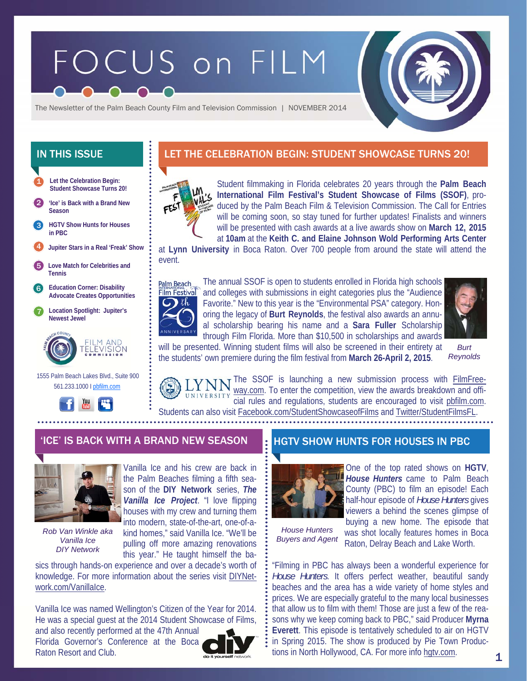# FOCUS on FILM



The Newsletter of the Palm Beach County Film and Television Commission | NOVEMBER 2014

- **Let the Celebration Begin: Student Showcase Turns 20!**  1
- 2 **'Ice' is Back with a Brand New Season**
- **HGTV Show Hunts for Houses in PBC**  3
- 4 **Jupiter Stars in a Real 'Freak' Show**
- 5 **Love Match for Celebrities and Tennis**
- 6 **Education Corner: Disability Advocate Creates Opportunities**
- 7 **Location Spotlight: Jupiter's Newest Jewel**



 1555 Palm Beach Lakes Blvd., Suite 900 561.233.1000 I pbfilm.com



## IN THIS ISSUE **LET THE CELEBRATION BEGIN: STUDENT SHOWCASE TURNS 20!**



Student filmmaking in Florida celebrates 20 years through the **Palm Beach International Film Festival's Student Showcase of Films (SSOF)**, produced by the Palm Beach Film & Television Commission. The Call for Entries will be coming soon, so stay tuned for further updates! Finalists and winners will be presented with cash awards at a live awards show on **March 12, 2015**  at **10am** at the **Keith C. and Elaine Johnson Wold Performing Arts Center** 

at **Lynn University** in Boca Raton. Over 700 people from around the state will attend the event.



The annual SSOF is open to students enrolled in Florida high schools and colleges with submissions in eight categories plus the "Audience Favorite." New to this year is the "Environmental PSA" category. Honoring the legacy of **Burt Reynolds**, the festival also awards an annual scholarship bearing his name and a **Sara Fuller** Scholarship through Film Florida. More than \$10,500 in scholarships and awards



will be presented. Winning student films will also be screened in their entirety at the students' own premiere during the film festival from **March 26-April 2, 2015**. *Burt* 

*Reynolds* 

N The SSOF is launching a new submission process with **FilmFree**way.com. To enter the competition, view the awards breakdown and offi-

cial rules and regulations, students are encouraged to visit pbfilm.com. Students can also visit Facebook.com/StudentShowcaseofFilms and Twitter/StudentFilmsFL.



*Rob Van Winkle aka Vanilla Ice DIY Network* 

Vanilla Ice and his crew are back in the Palm Beaches filming a fifth season of the **DIY Network** series, *The Vanilla Ice Project*. "I love flipping houses with my crew and turning them into modern, state-of-the-art, one-of-akind homes," said Vanilla Ice. "We'll be pulling off more amazing renovations this year." He taught himself the ba-

sics through hands-on experience and over a decade's worth of knowledge. For more information about the series visit DIYNetwork.com/VanillaIce.

Vanilla Ice was named Wellington's Citizen of the Year for 2014. He was a special guest at the 2014 Student Showcase of Films,

and also recently performed at the 47th Annual Florida Governor's Conference at the Boca Raton Resort and Club.



## 'ICE' IS BACK WITH A BRAND NEW SEASON **HE HGTV SHOW HUNTS FOR HOUSES IN PBC**



One of the top rated shows on **HGTV**, *House Hunters* came to Palm Beach County (PBC) to film an episode! Each half-hour episode of *House Hunters* gives viewers a behind the scenes glimpse of buying a new home. The episode that was shot locally features homes in Boca

*House Hunters Buyers and Agent*  Raton, Delray Beach and Lake Worth.

"Filming in PBC has always been a wonderful experience for *House Hunters*. It offers perfect weather, beautiful sandy beaches and the area has a wide variety of home styles and prices. We are especially grateful to the many local businesses that allow us to film with them! Those are just a few of the reasons why we keep coming back to PBC," said Producer **Myrna Everett**. This episode is tentatively scheduled to air on HGTV in Spring 2015. The show is produced by Pie Town Productions in North Hollywood, CA. For more info hgtv.com.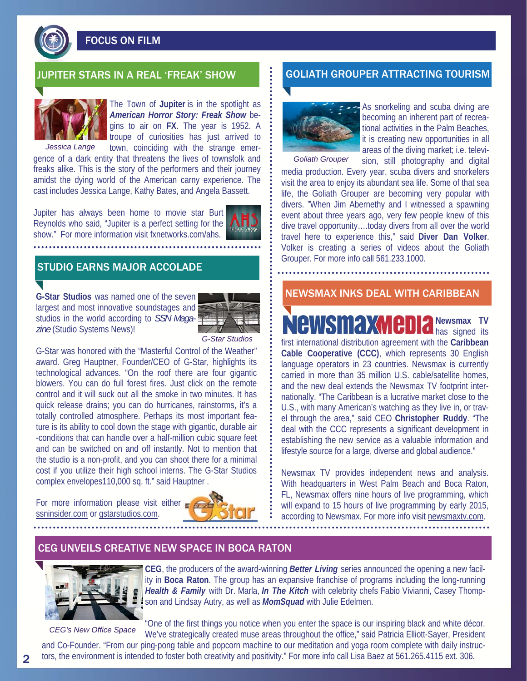

FOCUS ON FILM



The Town of **Jupiter** is in the spotlight as *American Horror Story: Freak Show* begins to air on **FX**. The year is 1952. A troupe of curiosities has just arrived to town, coinciding with the strange emer-

gence of a dark entity that threatens the lives of townsfolk and freaks alike. This is the story of the performers and their journey amidst the dying world of the American carny experience. The cast includes Jessica Lange, Kathy Bates, and Angela Bassett. *Jessica Lange* 

Jupiter has always been home to movie star Burt Reynolds who said, "Jupiter is a perfect setting for the show." For more information visit fxnetworks.com/ahs.

## STUDIO EARNS MAJOR ACCOLADE

**G-Star Studios** was named one of the seven largest and most innovative soundstages and studios in the world according to *SSN Magazine* (Studio Systems News)!



#### *G-Star Studios*

G-Star was honored with the "Masterful Control of the Weather" award. Greg Hauptner, Founder/CEO of G-Star, highlights its technological advances. "On the roof there are four gigantic blowers. You can do full forest fires. Just click on the remote control and it will suck out all the smoke in two minutes. It has quick release drains; you can do hurricanes, rainstorms, it's a totally controlled atmosphere. Perhaps its most important feature is its ability to cool down the stage with gigantic, durable air -conditions that can handle over a half-million cubic square feet and can be switched on and off instantly. Not to mention that the studio is a non-profit, and you can shoot there for a minimal cost if you utilize their high school interns. The G-Star Studios complex envelopes110,000 sq. ft." said Hauptner .

For more information please visit either ssninsider.com or gstarstudios.com.



#### IUPITER STARS IN A REAL 'FREAK' SHOW GOLIATH GROUPER ATTRACTING TOURISM



As snorkeling and scuba diving are becoming an inherent part of recreational activities in the Palm Beaches, it is creating new opportunities in all areas of the diving market; i.e. televi-

sion, still photography and digital media production. Every year, scuba divers and snorkelers visit the area to enjoy its abundant sea life. Some of that sea life, the Goliath Grouper are becoming very popular with divers. "When Jim Abernethy and I witnessed a spawning event about three years ago, very few people knew of this dive travel opportunity….today divers from all over the world travel here to experience this," said **Diver Dan Volker**. Volker is creating a series of videos about the Goliath Grouper. For more info call 561.233.1000. *Goliath Grouper* 

#### NEWSMAX INKS DEAL WITH CARIBBEAN

**Newsmax TV Newsmaxme C** has signed its first international distribution agreement with the **Caribbean Cable Cooperative (CCC)**, which represents 30 English language operators in 23 countries. Newsmax is currently carried in more than 35 million U.S. cable/satellite homes, and the new deal extends the Newsmax TV footprint internationally. "The Caribbean is a lucrative market close to the U.S., with many American's watching as they live in, or travel through the area," said CEO **Christopher Ruddy**. "The deal with the CCC represents a significant development in establishing the new service as a valuable information and lifestyle source for a large, diverse and global audience."

Newsmax TV provides independent news and analysis. With headquarters in West Palm Beach and Boca Raton, FL, Newsmax offers nine hours of live programming, which will expand to 15 hours of live programming by early 2015, according to Newsmax. For more info visit newsmaxtv.com.

#### CEG UNVEILS CREATIVE NEW SPACE IN BOCA RATON



*CEG's New Office Space* 

**CEG**, the producers of the award-winning *Better Living* series announced the opening a new facility in **Boca Raton**. The group has an expansive franchise of programs including the long-running *Health & Family* with Dr. Marla, *In The Kitch* with celebrity chefs Fabio Vivianni, Casey Thompson and Lindsay Autry, as well as *MomSquad* with Julie Edelmen.

"One of the first things you notice when you enter the space is our inspiring black and white décor. We've strategically created muse areas throughout the office," said Patricia Elliott-Sayer, President

and Co-Founder. "From our ping-pong table and popcorn machine to our meditation and yoga room complete with daily instructors, the environment is intended to foster both creativity and positivity." For more info call Lisa Baez at 561.265.4115 ext. 306.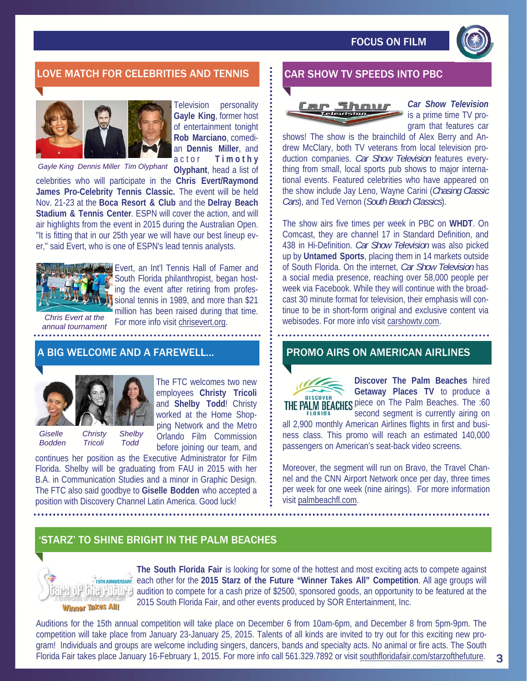

## LOVE MATCH FOR CELEBRITIES AND TENNIS **1 BY CAR SHOW TV SPEEDS INTO PBC**



Television personality **Gayle King**, former host of entertainment tonight **Rob Marciano**, comedian **Dennis Miller**, and actor **T i m o t h y** 

*Gayle King Dennis Miller Tim Olyphant* 

**Olyphant**, head a list of

celebrities who will participate in the **Chris Evert/Raymond James Pro-Celebrity Tennis Classic.** The event will be held Nov. 21-23 at the **Boca Resort & Club** and the **Delray Beach Stadium & Tennis Center**. ESPN will cover the action, and will air highlights from the event in 2015 during the Australian Open. "It is fitting that in our 25th year we will have our best lineup ever," said Evert, who is one of ESPN's lead tennis analysts.



Evert, an Int'l Tennis Hall of Famer and South Florida philanthropist, began hosting the event after retiring from professional tennis in 1989, and more than \$21 million has been raised during that time. For more info visit chrisevert.org.

The FTC welcomes two new

*Chris Evert at the annual tournament*  . . . . . . . . . . . . . .

#### A BIG WELCOME AND A FAREWELL...



employees **Christy Tricoli**  and **Shelby Todd**! Christy worked at the Home Shopping Network and the Metro Orlando Film Commission *Giselle Christy Shelby Bodden Tricoli Todd* 

before joining our team, and continues her position as the Executive Administrator for Film Florida. Shelby will be graduating from FAU in 2015 with her B.A. in Communication Studies and a minor in Graphic Design. The FTC also said goodbye to **Giselle Bodden** who accepted a position with Discovery Channel Latin America. Good luck!

# Thomas

*Car Show Television*  is a prime time TV program that features car

shows! The show is the brainchild of Alex Berry and Andrew McClary, both TV veterans from local television production companies. *Car Show Television* features everything from small, local sports pub shows to major international events. Featured celebrities who have appeared on the show include Jay Leno, Wayne Carini (*Chasing Classic Cars*), and Ted Vernon (*South Beach Classics*).

The show airs five times per week in PBC on **WHDT**. On Comcast, they are channel 17 in Standard Definition, and 438 in Hi-Definition. *Car Show Television* was also picked up by **Untamed Sports**, placing them in 14 markets outside of South Florida. On the internet, *Car Show Television* has a social media presence, reaching over 58,000 people per week via Facebook. While they will continue with the broadcast 30 minute format for television, their emphasis will continue to be in short-form original and exclusive content via webisodes. For more info visit carshowtv.com.

#### PROMO AIRS ON AMERICAN AIRLINES

**DISCOVER** 

**Discover The Palm Beaches** hired **Getaway Places TV** to produce a THE PALM BEACHES piece on The Palm Beaches. The :60 second segment is currently airing on

3

all 2,900 monthly American Airlines flights in first and business class. This promo will reach an estimated 140,000 passengers on American's seat-back video screens.

Moreover, the segment will run on Bravo, the Travel Channel and the CNN Airport Network once per day, three times per week for one week (nine airings). For more information visit palmbeachfl.com.

### 'STARZ' TO SHINE BRIGHT IN THE PALM BEACHES



**The South Florida Fair** is looking for some of the hottest and most exciting acts to compete against 15TH ANNIVERSARY, each other for the 2015 Starz of the Future "Winner Takes All" Competition. All age groups will  $\frac{1}{2}$ .  $\frac{1}{2}$  audition to compete for a cash prize of \$2500, sponsored goods, an opportunity to be featured at the 2015 South Florida Fair, and other events produced by SOR Entertainment, Inc.

Auditions for the 15th annual competition will take place on December 6 from 10am-6pm, and December 8 from 5pm-9pm. The competition will take place from January 23-January 25, 2015. Talents of all kinds are invited to try out for this exciting new program! Individuals and groups are welcome including singers, dancers, bands and specialty acts. No animal or fire acts. The South Florida Fair takes place January 16-February 1, 2015. For more info call 561.329.7892 or visit southfloridafair.com/starzofthefuture.